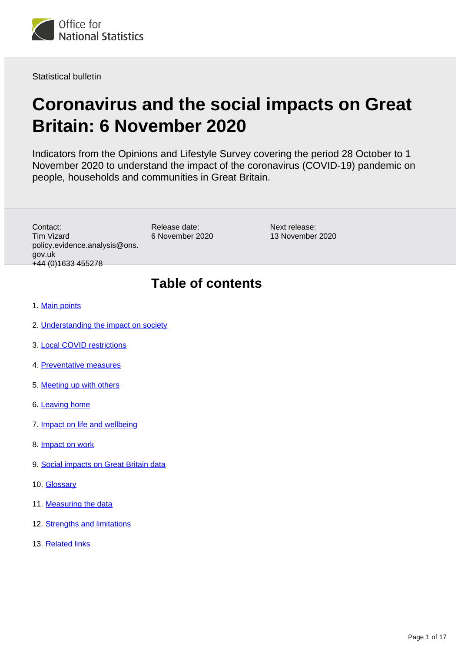

Statistical bulletin

# **Coronavirus and the social impacts on Great Britain: 6 November 2020**

Indicators from the Opinions and Lifestyle Survey covering the period 28 October to 1 November 2020 to understand the impact of the coronavirus (COVID-19) pandemic on people, households and communities in Great Britain.

Contact: Tim Vizard policy.evidence.analysis@ons. gov.uk +44 (0)1633 455278

Release date: 6 November 2020 Next release: 13 November 2020

## **Table of contents**

- 1. [Main points](#page-1-0)
- 2. [Understanding the impact on society](#page-1-1)
- 3. [Local COVID restrictions](#page-2-0)
- 4. [Preventative measures](#page-4-0)
- 5. [Meeting up with others](#page-6-0)
- 6. [Leaving home](#page-10-0)
- 7. [Impact on life and wellbeing](#page-11-0)
- 8. **[Impact on work](#page-12-0)**
- 9. [Social impacts on Great Britain data](#page-14-0)
- 10. [Glossary](#page-14-1)
- 11. [Measuring the data](#page-15-0)
- 12. [Strengths and limitations](#page-15-1)
- 13. [Related links](#page-16-0)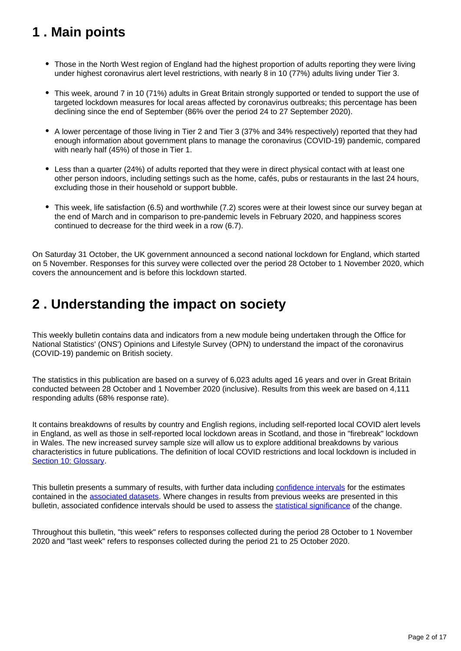# <span id="page-1-0"></span>**1 . Main points**

- Those in the North West region of England had the highest proportion of adults reporting they were living under highest coronavirus alert level restrictions, with nearly 8 in 10 (77%) adults living under Tier 3.
- This week, around 7 in 10 (71%) adults in Great Britain strongly supported or tended to support the use of targeted lockdown measures for local areas affected by coronavirus outbreaks; this percentage has been declining since the end of September (86% over the period 24 to 27 September 2020).
- A lower percentage of those living in Tier 2 and Tier 3 (37% and 34% respectively) reported that they had enough information about government plans to manage the coronavirus (COVID-19) pandemic, compared with nearly half (45%) of those in Tier 1.
- Less than a quarter (24%) of adults reported that they were in direct physical contact with at least one other person indoors, including settings such as the home, cafés, pubs or restaurants in the last 24 hours, excluding those in their household or support bubble.
- This week, life satisfaction (6.5) and worthwhile (7.2) scores were at their lowest since our survey began at the end of March and in comparison to pre-pandemic levels in February 2020, and happiness scores continued to decrease for the third week in a row (6.7).

On Saturday 31 October, the UK government announced a second national lockdown for England, which started on 5 November. Responses for this survey were collected over the period 28 October to 1 November 2020, which covers the announcement and is before this lockdown started.

## <span id="page-1-1"></span>**2 . Understanding the impact on society**

This weekly bulletin contains data and indicators from a new module being undertaken through the Office for National Statistics' (ONS') Opinions and Lifestyle Survey (OPN) to understand the impact of the coronavirus (COVID-19) pandemic on British society.

The statistics in this publication are based on a survey of 6,023 adults aged 16 years and over in Great Britain conducted between 28 October and 1 November 2020 (inclusive). Results from this week are based on 4,111 responding adults (68% response rate).

It contains breakdowns of results by country and English regions, including self-reported local COVID alert levels in England, as well as those in self-reported local lockdown areas in Scotland, and those in "firebreak" lockdown in Wales. The new increased survey sample size will allow us to explore additional breakdowns by various characteristics in future publications. The definition of local COVID restrictions and local lockdown is included in [Section 10: Glossary.](https://www.ons.gov.uk/peoplepopulationandcommunity/healthandsocialcare/healthandwellbeing/bulletins/coronavirusandthesocialimpactsongreatbritain/6november2020#glossary)

This bulletin presents a summary of results, with further data including [confidence intervals](https://www.ons.gov.uk/methodology/methodologytopicsandstatisticalconcepts/uncertaintyandhowwemeasureit#confidence-interval) for the estimates contained in the [associated datasets](https://www.ons.gov.uk/peoplepopulationandcommunity/healthandsocialcare/healthandwellbeing/bulletins/coronavirusandthesocialimpactsongreatbritain/6november2020/relateddata). Where changes in results from previous weeks are presented in this bulletin, associated confidence intervals should be used to assess the [statistical significance](https://www.ons.gov.uk/methodology/methodologytopicsandstatisticalconcepts/uncertaintyandhowwemeasureit#statistical-significance) of the change.

Throughout this bulletin, "this week" refers to responses collected during the period 28 October to 1 November 2020 and "last week" refers to responses collected during the period 21 to 25 October 2020.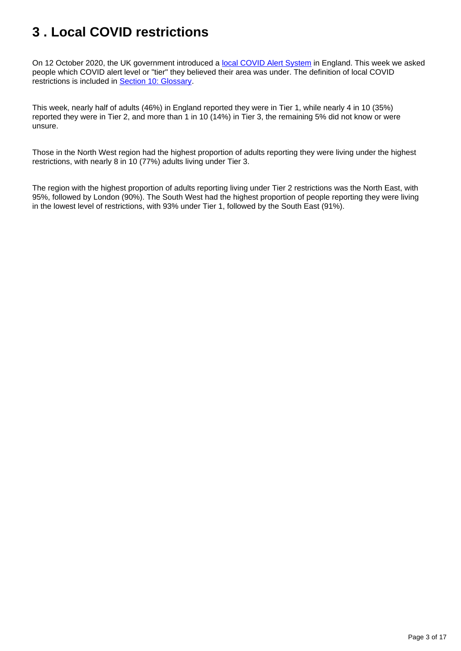# <span id="page-2-0"></span>**3 . Local COVID restrictions**

On 12 October 2020, the UK government introduced a [local COVID Alert System](https://www.gov.uk/government/news/prime-minister-announces-new-local-covid-alert-levels) in England. This week we asked people which COVID alert level or "tier" they believed their area was under. The definition of local COVID restrictions is included in [Section 10: Glossary.](https://www.ons.gov.uk/peoplepopulationandcommunity/healthandsocialcare/healthandwellbeing/bulletins/coronavirusandthesocialimpactsongreatbritain/6november2020#glossary)

This week, nearly half of adults (46%) in England reported they were in Tier 1, while nearly 4 in 10 (35%) reported they were in Tier 2, and more than 1 in 10 (14%) in Tier 3, the remaining 5% did not know or were unsure.

Those in the North West region had the highest proportion of adults reporting they were living under the highest restrictions, with nearly 8 in 10 (77%) adults living under Tier 3.

The region with the highest proportion of adults reporting living under Tier 2 restrictions was the North East, with 95%, followed by London (90%). The South West had the highest proportion of people reporting they were living in the lowest level of restrictions, with 93% under Tier 1, followed by the South East (91%).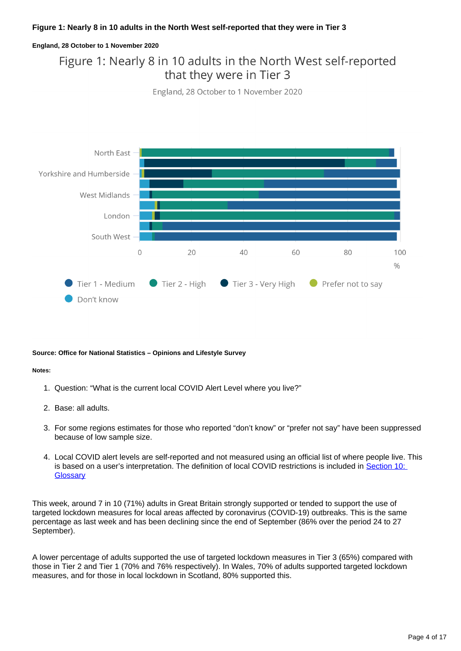#### **Figure 1: Nearly 8 in 10 adults in the North West self-reported that they were in Tier 3**

#### **England, 28 October to 1 November 2020**

### Figure 1: Nearly 8 in 10 adults in the North West self-reported that they were in Tier 3

England, 28 October to 1 November 2020



#### **Source: Office for National Statistics – Opinions and Lifestyle Survey**

#### **Notes:**

- 1. Question: "What is the current local COVID Alert Level where you live?"
- 2. Base: all adults.
- 3. For some regions estimates for those who reported "don't know" or "prefer not say" have been suppressed because of low sample size.
- 4. Local COVID alert levels are self-reported and not measured using an official list of where people live. This is based on a user's interpretation. The definition of local COVID restrictions is included in Section 10: **[Glossary](https://www.ons.gov.uk/peoplepopulationandcommunity/healthandsocialcare/healthandwellbeing/bulletins/coronavirusandthesocialimpactsongreatbritain/6november2020#glossary)**

This week, around 7 in 10 (71%) adults in Great Britain strongly supported or tended to support the use of targeted lockdown measures for local areas affected by coronavirus (COVID-19) outbreaks. This is the same percentage as last week and has been declining since the end of September (86% over the period 24 to 27 September).

A lower percentage of adults supported the use of targeted lockdown measures in Tier 3 (65%) compared with those in Tier 2 and Tier 1 (70% and 76% respectively). In Wales, 70% of adults supported targeted lockdown measures, and for those in local lockdown in Scotland, 80% supported this.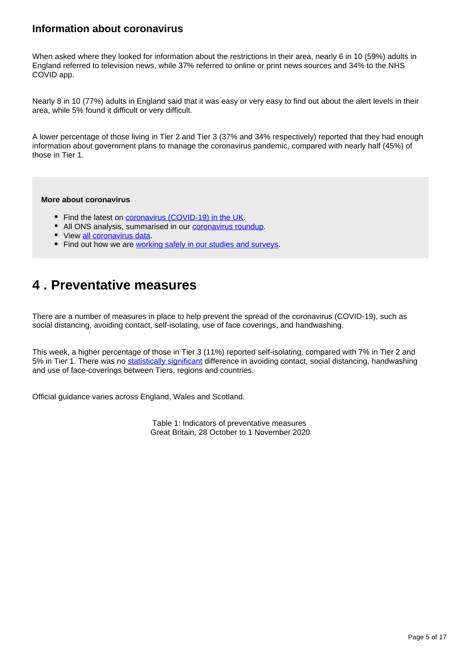### **Information about coronavirus**

When asked where they looked for information about the restrictions in their area, nearly 6 in 10 (59%) adults in England referred to television news, while 37% referred to online or print news sources and 34% to the NHS COVID app.

Nearly 8 in 10 (77%) adults in England said that it was easy or very easy to find out about the alert levels in their area, while 5% found it difficult or very difficult.

A lower percentage of those living in Tier 2 and Tier 3 (37% and 34% respectively) reported that they had enough information about government plans to manage the coronavirus pandemic, compared with nearly half (45%) of those in Tier 1.

#### **More about coronavirus**

- Find the latest on [coronavirus \(COVID-19\) in the UK.](https://www.ons.gov.uk/peoplepopulationandcommunity/healthandsocialcare/conditionsanddiseases)
- All ONS analysis, summarised in our [coronavirus roundup.](https://www.ons.gov.uk/peoplepopulationandcommunity/healthandsocialcare/conditionsanddiseases/articles/coronaviruscovid19roundup/latest)
- View [all coronavirus data](https://www.ons.gov.uk/peoplepopulationandcommunity/healthandsocialcare/conditionsanddiseases/datalist).
- Find out how we are [working safely in our studies and surveys.](https://www.ons.gov.uk/news/statementsandletters/ensuringyoursafetyduringcovid19)

## <span id="page-4-0"></span>**4 . Preventative measures**

There are a number of measures in place to help prevent the spread of the coronavirus (COVID-19), such as social distancing, avoiding contact, self-isolating, use of face coverings, and handwashing.

This week, a higher percentage of those in Tier 3 (11%) reported self-isolating, compared with 7% in Tier 2 and 5% in Tier 1. There was no [statistically significant](https://www.ons.gov.uk/methodology/methodologytopicsandstatisticalconcepts/uncertaintyandhowwemeasureit#statistical-significance) difference in avoiding contact, social distancing, handwashing and use of face-coverings between Tiers, regions and countries.

Official guidance varies across England, Wales and Scotland.

Table 1: Indicators of preventative measures Great Britain, 28 October to 1 November 2020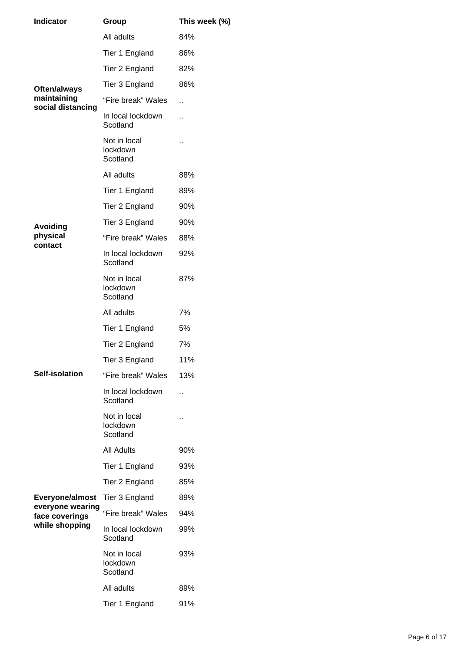| <b>Indicator</b>                                                                           | Group                                | This week (%) |
|--------------------------------------------------------------------------------------------|--------------------------------------|---------------|
| Often/always<br>maintaining<br>social distancing<br><b>Avoiding</b><br>physical<br>contact | All adults                           | 84%           |
|                                                                                            | Tier 1 England                       | 86%           |
|                                                                                            | Tier 2 England                       | 82%           |
|                                                                                            | Tier 3 England                       | 86%           |
|                                                                                            | "Fire break" Wales                   | ä.            |
|                                                                                            | In local lockdown<br>Scotland        | ä.            |
|                                                                                            | Not in local<br>lockdown<br>Scotland | μ,            |
|                                                                                            | All adults                           | 88%           |
|                                                                                            | Tier 1 England                       | 89%           |
|                                                                                            | Tier 2 England                       | 90%           |
|                                                                                            | Tier 3 England                       | 90%           |
|                                                                                            | "Fire break" Wales                   | 88%           |
|                                                                                            | In local lockdown<br>Scotland        | 92%           |
|                                                                                            | Not in local<br>lockdown<br>Scotland | 87%           |
|                                                                                            | All adults                           | 7%            |
|                                                                                            | Tier 1 England                       | 5%            |
|                                                                                            | Tier 2 England                       | 7%            |
|                                                                                            | Tier 3 England                       | 11%           |
| Self-isolation                                                                             | "Fire break" Wales                   | 13%           |
|                                                                                            | In local lockdown<br>Scotland        | Ω,            |
|                                                                                            | Not in local<br>lockdown<br>Scotland | . .           |
|                                                                                            | <b>All Adults</b>                    | 90%           |
|                                                                                            | Tier 1 England                       | 93%           |
|                                                                                            | Tier 2 England                       | 85%           |
| Everyone/almost<br>everyone wearing<br>face coverings<br>while shopping                    | Tier 3 England                       | 89%           |
|                                                                                            | "Fire break" Wales                   | 94%           |
|                                                                                            | In local lockdown<br>Scotland        | 99%           |
|                                                                                            | Not in local<br>lockdown<br>Scotland | 93%           |
|                                                                                            | All adults                           | 89%           |
|                                                                                            | Tier 1 England                       | 91%           |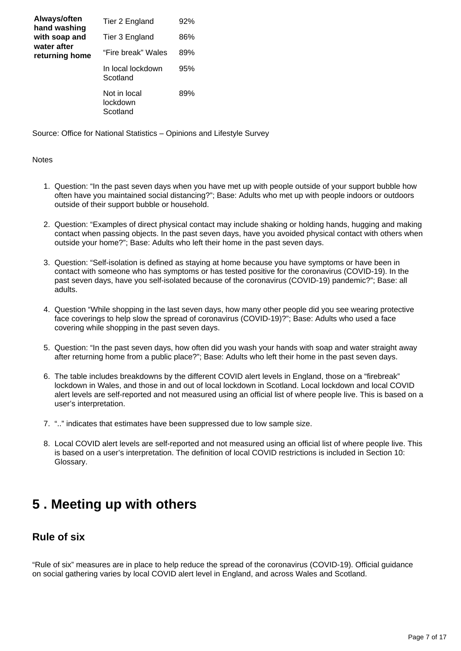| Always/often<br>hand washing<br>with soap and<br>water after<br>returning home | Tier 2 England                       | 92% |
|--------------------------------------------------------------------------------|--------------------------------------|-----|
|                                                                                | Tier 3 England                       | 86% |
|                                                                                | "Fire break" Wales                   | 89% |
|                                                                                | In local lockdown<br>Scotland        | 95% |
|                                                                                | Not in local<br>lockdown<br>Scotland | 89% |

Source: Office for National Statistics – Opinions and Lifestyle Survey

#### **Notes**

- 1. Question: "In the past seven days when you have met up with people outside of your support bubble how often have you maintained social distancing?"; Base: Adults who met up with people indoors or outdoors outside of their support bubble or household.
- 2. Question: "Examples of direct physical contact may include shaking or holding hands, hugging and making contact when passing objects. In the past seven days, have you avoided physical contact with others when outside your home?"; Base: Adults who left their home in the past seven days.
- 3. Question: "Self-isolation is defined as staying at home because you have symptoms or have been in contact with someone who has symptoms or has tested positive for the coronavirus (COVID-19). In the past seven days, have you self-isolated because of the coronavirus (COVID-19) pandemic?"; Base: all adults.
- 4. Question "While shopping in the last seven days, how many other people did you see wearing protective face coverings to help slow the spread of coronavirus (COVID-19)?"; Base: Adults who used a face covering while shopping in the past seven days.
- 5. Question: "In the past seven days, how often did you wash your hands with soap and water straight away after returning home from a public place?"; Base: Adults who left their home in the past seven days.
- 6. The table includes breakdowns by the different COVID alert levels in England, those on a "firebreak" lockdown in Wales, and those in and out of local lockdown in Scotland. Local lockdown and local COVID alert levels are self-reported and not measured using an official list of where people live. This is based on a user's interpretation.
- 7. ".." indicates that estimates have been suppressed due to low sample size.
- 8. Local COVID alert levels are self-reported and not measured using an official list of where people live. This is based on a user's interpretation. The definition of local COVID restrictions is included in Section 10: Glossary.

## <span id="page-6-0"></span>**5 . Meeting up with others**

### **Rule of six**

"Rule of six" measures are in place to help reduce the spread of the coronavirus (COVID-19). Official guidance on social gathering varies by local COVID alert level in England, and across Wales and Scotland.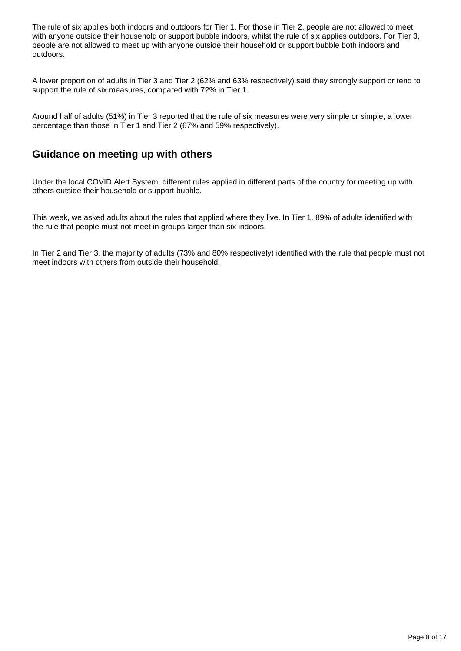The rule of six applies both indoors and outdoors for Tier 1. For those in Tier 2, people are not allowed to meet with anyone outside their household or support bubble indoors, whilst the rule of six applies outdoors. For Tier 3, people are not allowed to meet up with anyone outside their household or support bubble both indoors and outdoors.

A lower proportion of adults in Tier 3 and Tier 2 (62% and 63% respectively) said they strongly support or tend to support the rule of six measures, compared with 72% in Tier 1.

Around half of adults (51%) in Tier 3 reported that the rule of six measures were very simple or simple, a lower percentage than those in Tier 1 and Tier 2 (67% and 59% respectively).

### **Guidance on meeting up with others**

Under the local COVID Alert System, different rules applied in different parts of the country for meeting up with others outside their household or support bubble.

This week, we asked adults about the rules that applied where they live. In Tier 1, 89% of adults identified with the rule that people must not meet in groups larger than six indoors.

In Tier 2 and Tier 3, the majority of adults (73% and 80% respectively) identified with the rule that people must not meet indoors with others from outside their household.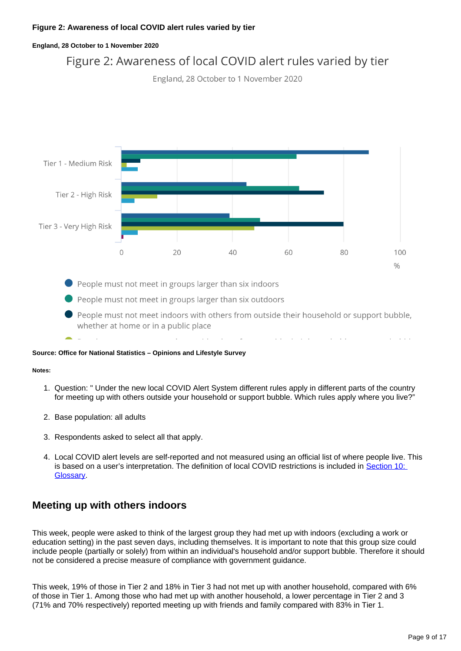#### **England, 28 October to 1 November 2020**



People must not meet in groups larger than six indoors

- People must not meet in groups larger than six outdoors
- People must not meet indoors with others from outside their household or support bubble, whether at home or in a public place

#### **Source: Office for National Statistics – Opinions and Lifestyle Survey**

#### **Notes:**

- 1. Question: " Under the new local COVID Alert System different rules apply in different parts of the country for meeting up with others outside your household or support bubble. Which rules apply where you live?"
- 2. Base population: all adults
- 3. Respondents asked to select all that apply.
- 4. Local COVID alert levels are self-reported and not measured using an official list of where people live. This is based on a user's interpretation. The definition of local COVID restrictions is included in Section 10: [Glossary](https://www.ons.gov.uk/peoplepopulationandcommunity/healthandsocialcare/healthandwellbeing/bulletins/coronavirusandthesocialimpactsongreatbritain/6november2020#glossary).

### **Meeting up with others indoors**

This week, people were asked to think of the largest group they had met up with indoors (excluding a work or education setting) in the past seven days, including themselves. It is important to note that this group size could include people (partially or solely) from within an individual's household and/or support bubble. Therefore it should not be considered a precise measure of compliance with government guidance.

This week, 19% of those in Tier 2 and 18% in Tier 3 had not met up with another household, compared with 6% of those in Tier 1. Among those who had met up with another household, a lower percentage in Tier 2 and 3 (71% and 70% respectively) reported meeting up with friends and family compared with 83% in Tier 1.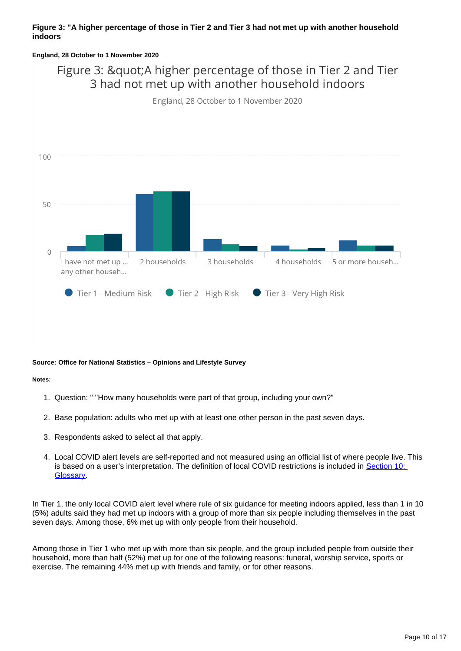#### **Figure 3: "A higher percentage of those in Tier 2 and Tier 3 had not met up with another household indoors**

#### **England, 28 October to 1 November 2020**

### Figure 3: " A higher percentage of those in Tier 2 and Tier 3 had not met up with another household indoors

England, 28 October to 1 November 2020



#### **Source: Office for National Statistics – Opinions and Lifestyle Survey**

#### **Notes:**

- 1. Question: " "How many households were part of that group, including your own?"
- 2. Base population: adults who met up with at least one other person in the past seven days.
- 3. Respondents asked to select all that apply.
- 4. Local COVID alert levels are self-reported and not measured using an official list of where people live. This is based on a user's interpretation. The definition of local COVID restrictions is included in Section 10: [Glossary](https://www.ons.gov.uk/peoplepopulationandcommunity/healthandsocialcare/healthandwellbeing/bulletins/coronavirusandthesocialimpactsongreatbritain/6november2020#glossary).

In Tier 1, the only local COVID alert level where rule of six guidance for meeting indoors applied, less than 1 in 10 (5%) adults said they had met up indoors with a group of more than six people including themselves in the past seven days. Among those, 6% met up with only people from their household.

Among those in Tier 1 who met up with more than six people, and the group included people from outside their household, more than half (52%) met up for one of the following reasons: funeral, worship service, sports or exercise. The remaining 44% met up with friends and family, or for other reasons.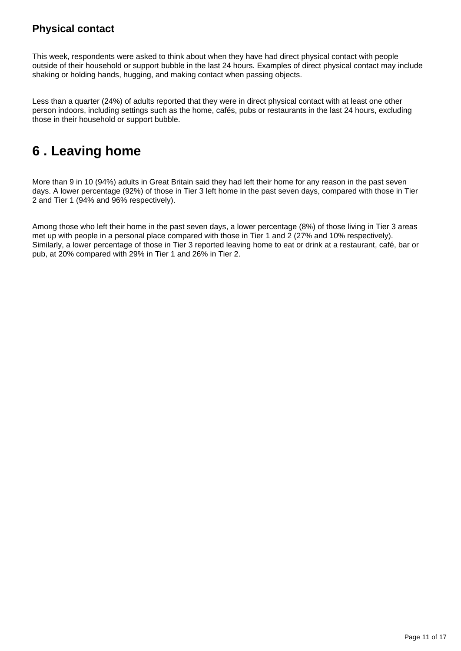### **Physical contact**

This week, respondents were asked to think about when they have had direct physical contact with people outside of their household or support bubble in the last 24 hours. Examples of direct physical contact may include shaking or holding hands, hugging, and making contact when passing objects.

Less than a quarter (24%) of adults reported that they were in direct physical contact with at least one other person indoors, including settings such as the home, cafés, pubs or restaurants in the last 24 hours, excluding those in their household or support bubble.

# <span id="page-10-0"></span>**6 . Leaving home**

More than 9 in 10 (94%) adults in Great Britain said they had left their home for any reason in the past seven days. A lower percentage (92%) of those in Tier 3 left home in the past seven days, compared with those in Tier 2 and Tier 1 (94% and 96% respectively).

Among those who left their home in the past seven days, a lower percentage (8%) of those living in Tier 3 areas met up with people in a personal place compared with those in Tier 1 and 2 (27% and 10% respectively). Similarly, a lower percentage of those in Tier 3 reported leaving home to eat or drink at a restaurant, café, bar or pub, at 20% compared with 29% in Tier 1 and 26% in Tier 2.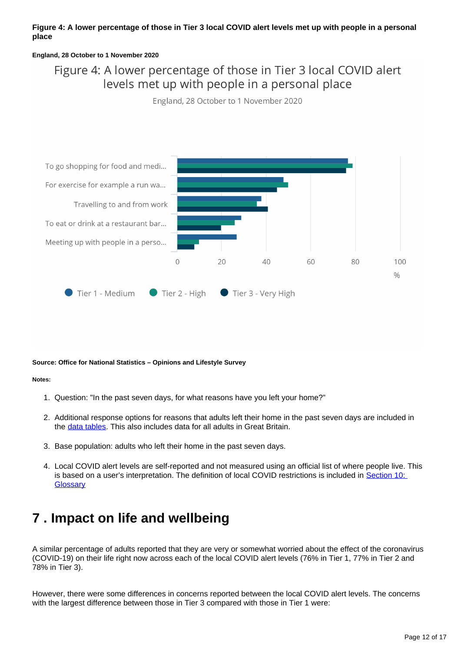#### **Figure 4: A lower percentage of those in Tier 3 local COVID alert levels met up with people in a personal place**

#### **England, 28 October to 1 November 2020**

### Figure 4: A lower percentage of those in Tier 3 local COVID alert levels met up with people in a personal place

England, 28 October to 1 November 2020



#### **Source: Office for National Statistics – Opinions and Lifestyle Survey**

#### **Notes:**

- 1. Question: "In the past seven days, for what reasons have you left your home?"
- 2. Additional response options for reasons that adults left their home in the past seven days are included in the [data tables](https://www.ons.gov.uk/peoplepopulationandcommunity/healthandsocialcare/healthandwellbeing/datasets/coronavirusandthesocialimpactsongreatbritaindata). This also includes data for all adults in Great Britain.
- 3. Base population: adults who left their home in the past seven days.
- 4. Local COVID alert levels are self-reported and not measured using an official list of where people live. This is based on a user's interpretation. The definition of local COVID restrictions is included in Section 10: **[Glossary](https://www.ons.gov.uk/peoplepopulationandcommunity/healthandsocialcare/healthandwellbeing/bulletins/coronavirusandthesocialimpactsongreatbritain/6november2020#glossary)**

# <span id="page-11-0"></span>**7 . Impact on life and wellbeing**

A similar percentage of adults reported that they are very or somewhat worried about the effect of the coronavirus (COVID-19) on their life right now across each of the local COVID alert levels (76% in Tier 1, 77% in Tier 2 and 78% in Tier 3).

However, there were some differences in concerns reported between the local COVID alert levels. The concerns with the largest difference between those in Tier 3 compared with those in Tier 1 were: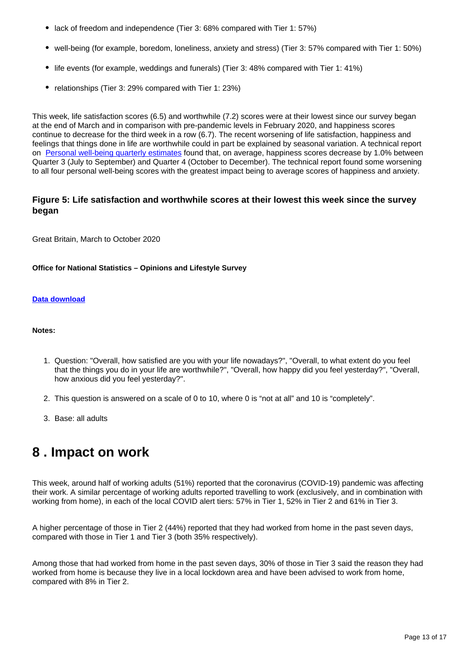- lack of freedom and independence (Tier 3: 68% compared with Tier 1: 57%)
- well-being (for example, boredom, loneliness, anxiety and stress) (Tier 3: 57% compared with Tier 1: 50%)
- life events (for example, weddings and funerals) (Tier 3: 48% compared with Tier 1: 41%)
- relationships (Tier 3: 29% compared with Tier 1: 23%)

This week, life satisfaction scores (6.5) and worthwhile (7.2) scores were at their lowest since our survey began at the end of March and in comparison with pre-pandemic levels in February 2020, and happiness scores continue to decrease for the third week in a row (6.7). The recent worsening of life satisfaction, happiness and feelings that things done in life are worthwhile could in part be explained by seasonal variation. A technical report on [Personal well-being quarterly estimates](https://www.ons.gov.uk/peoplepopulationandcommunity/wellbeing/methodologies/personalwellbeingquarterlyestimatestechnicalreport?:uri=peoplepopulationandcommunity/wellbeing/methodologies/personalwellbeingquarterlyestimatestechnicalreport) found that, on average, happiness scores decrease by 1.0% between Quarter 3 (July to September) and Quarter 4 (October to December). The technical report found some worsening to all four personal well-being scores with the greatest impact being to average scores of happiness and anxiety.

#### **Figure 5: Life satisfaction and worthwhile scores at their lowest this week since the survey began**

Great Britain, March to October 2020

#### **Office for National Statistics – Opinions and Lifestyle Survey**

#### **[Data download](https://www.ons.gov.uk/visualisations/dvc1043/wellbeing/wrapper/datadownload.xlsx)**

#### **Notes:**

- 1. Question: "Overall, how satisfied are you with your life nowadays?", "Overall, to what extent do you feel that the things you do in your life are worthwhile?", "Overall, how happy did you feel yesterday?", "Overall, how anxious did you feel yesterday?".
- 2. This question is answered on a scale of 0 to 10, where 0 is "not at all" and 10 is "completely".
- 3. Base: all adults

## <span id="page-12-0"></span>**8 . Impact on work**

This week, around half of working adults (51%) reported that the coronavirus (COVID-19) pandemic was affecting their work. A similar percentage of working adults reported travelling to work (exclusively, and in combination with working from home), in each of the local COVID alert tiers: 57% in Tier 1, 52% in Tier 2 and 61% in Tier 3.

A higher percentage of those in Tier 2 (44%) reported that they had worked from home in the past seven days, compared with those in Tier 1 and Tier 3 (both 35% respectively).

Among those that had worked from home in the past seven days, 30% of those in Tier 3 said the reason they had worked from home is because they live in a local lockdown area and have been advised to work from home, compared with 8% in Tier 2.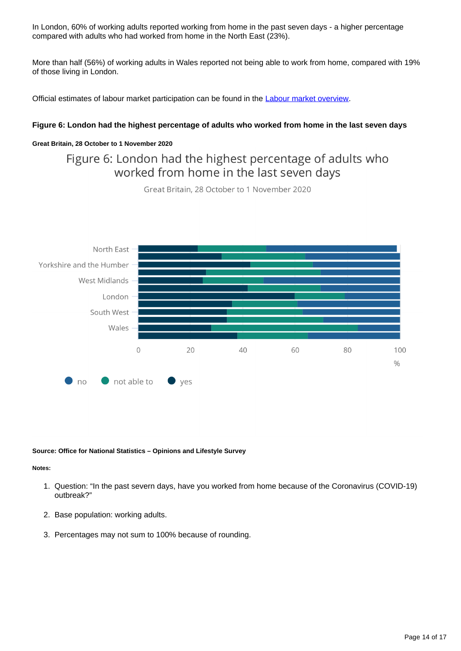In London, 60% of working adults reported working from home in the past seven days - a higher percentage compared with adults who had worked from home in the North East (23%).

More than half (56%) of working adults in Wales reported not being able to work from home, compared with 19% of those living in London.

Official estimates of labour market participation can be found in the [Labour market overview](https://www.ons.gov.uk/employmentandlabourmarket/peopleinwork/employmentandemployeetypes/bulletins/uklabourmarket/october2020).

#### **Figure 6: London had the highest percentage of adults who worked from home in the last seven days**

#### **Great Britain, 28 October to 1 November 2020**

### Figure 6: London had the highest percentage of adults who worked from home in the last seven days

Great Britain, 28 October to 1 November 2020



#### **Source: Office for National Statistics – Opinions and Lifestyle Survey**

#### **Notes:**

- 1. Question: "In the past severn days, have you worked from home because of the Coronavirus (COVID-19) outbreak?"
- 2. Base population: working adults.
- 3. Percentages may not sum to 100% because of rounding.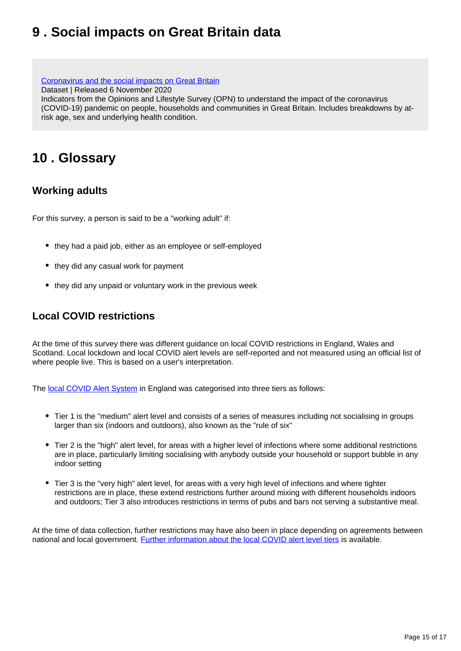# <span id="page-14-0"></span>**9 . Social impacts on Great Britain data**

[Coronavirus and the social impacts on Great Britain](https://www.ons.gov.uk/peoplepopulationandcommunity/healthandsocialcare/healthandwellbeing/datasets/coronavirusandthesocialimpactsongreatbritaindata) Dataset | Released 6 November 2020 Indicators from the Opinions and Lifestyle Survey (OPN) to understand the impact of the coronavirus (COVID-19) pandemic on people, households and communities in Great Britain. Includes breakdowns by atrisk age, sex and underlying health condition.

# <span id="page-14-1"></span>**10 . Glossary**

### **Working adults**

For this survey, a person is said to be a "working adult" if:

- they had a paid job, either as an employee or self-employed
- they did any casual work for payment
- they did any unpaid or voluntary work in the previous week

### **Local COVID restrictions**

At the time of this survey there was different guidance on local COVID restrictions in England, Wales and Scotland. Local lockdown and local COVID alert levels are self-reported and not measured using an official list of where people live. This is based on a user's interpretation.

The [local COVID Alert System](https://www.gov.uk/government/news/prime-minister-announces-new-local-covid-alert-levels) in England was categorised into three tiers as follows:

- Tier 1 is the "medium" alert level and consists of a series of measures including not socialising in groups larger than six (indoors and outdoors), also known as the "rule of six"
- Tier 2 is the "high" alert level, for areas with a higher level of infections where some additional restrictions are in place, particularly limiting socialising with anybody outside your household or support bubble in any indoor setting
- Tier 3 is the "very high" alert level, for areas with a very high level of infections and where tighter restrictions are in place, these extend restrictions further around mixing with different households indoors and outdoors; Tier 3 also introduces restrictions in terms of pubs and bars not serving a substantive meal.

At the time of data collection, further restrictions may have also been in place depending on agreements between national and local government. [Further information about the local COVID alert level tiers](https://www.gov.uk/guidance/local-covid-alert-levels-what-you-need-to-know) is available.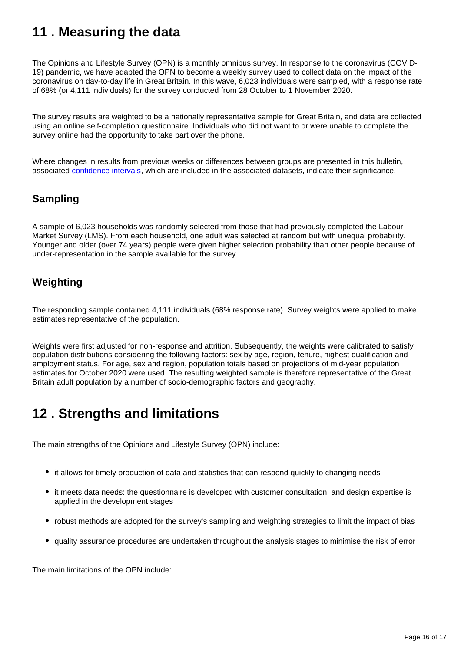# <span id="page-15-0"></span>**11 . Measuring the data**

The Opinions and Lifestyle Survey (OPN) is a monthly omnibus survey. In response to the coronavirus (COVID-19) pandemic, we have adapted the OPN to become a weekly survey used to collect data on the impact of the coronavirus on day-to-day life in Great Britain. In this wave, 6,023 individuals were sampled, with a response rate of 68% (or 4,111 individuals) for the survey conducted from 28 October to 1 November 2020.

The survey results are weighted to be a nationally representative sample for Great Britain, and data are collected using an online self-completion questionnaire. Individuals who did not want to or were unable to complete the survey online had the opportunity to take part over the phone.

Where changes in results from previous weeks or differences between groups are presented in this bulletin, associated [confidence intervals](https://www.ons.gov.uk/methodology/methodologytopicsandstatisticalconcepts/uncertaintyandhowwemeasureit#confidence-interval), which are included in the associated datasets, indicate their significance.

### **Sampling**

A sample of 6,023 households was randomly selected from those that had previously completed the Labour Market Survey (LMS). From each household, one adult was selected at random but with unequal probability. Younger and older (over 74 years) people were given higher selection probability than other people because of under-representation in the sample available for the survey.

### **Weighting**

The responding sample contained 4,111 individuals (68% response rate). Survey weights were applied to make estimates representative of the population.

Weights were first adjusted for non-response and attrition. Subsequently, the weights were calibrated to satisfy population distributions considering the following factors: sex by age, region, tenure, highest qualification and employment status. For age, sex and region, population totals based on projections of mid-year population estimates for October 2020 were used. The resulting weighted sample is therefore representative of the Great Britain adult population by a number of socio-demographic factors and geography.

# <span id="page-15-1"></span>**12 . Strengths and limitations**

The main strengths of the Opinions and Lifestyle Survey (OPN) include:

- it allows for timely production of data and statistics that can respond quickly to changing needs
- it meets data needs: the questionnaire is developed with customer consultation, and design expertise is applied in the development stages
- robust methods are adopted for the survey's sampling and weighting strategies to limit the impact of bias
- quality assurance procedures are undertaken throughout the analysis stages to minimise the risk of error

The main limitations of the OPN include: